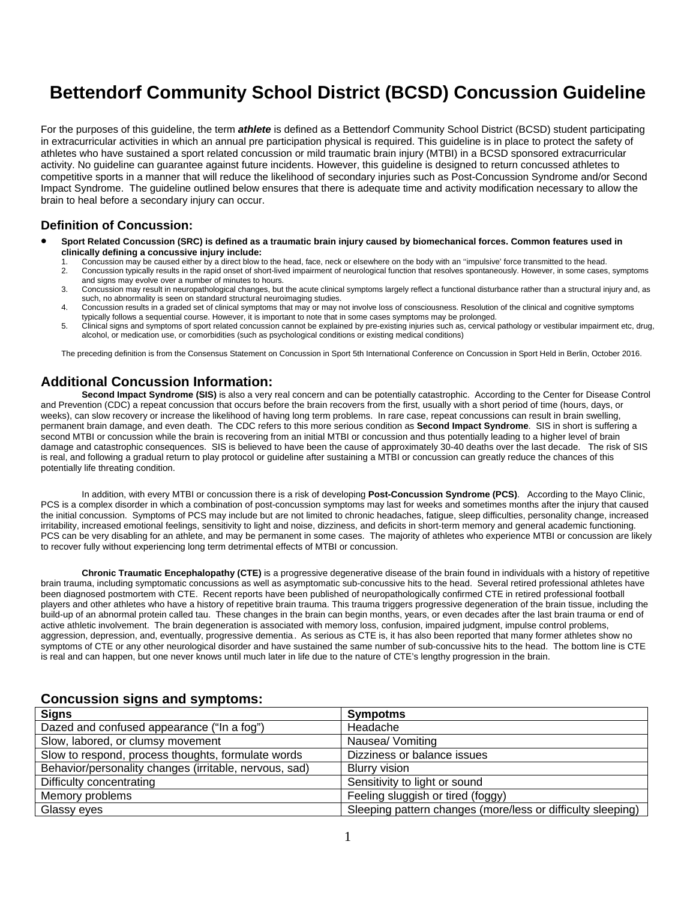# **Bettendorf Community School District (BCSD) Concussion Guideline**

For the purposes of this guideline, the term *athlete* is defined as a Bettendorf Community School District (BCSD) student participating in extracurricular activities in which an annual pre participation physical is required. This guideline is in place to protect the safety of athletes who have sustained a sport related concussion or mild traumatic brain injury (MTBI) in a BCSD sponsored extracurricular activity. No guideline can guarantee against future incidents. However, this guideline is designed to return concussed athletes to competitive sports in a manner that will reduce the likelihood of secondary injuries such as Post-Concussion Syndrome and/or Second Impact Syndrome. The guideline outlined below ensures that there is adequate time and activity modification necessary to allow the brain to heal before a secondary injury can occur.

#### **Definition of Concussion:**

- **Sport Related Concussion (SRC) is defined as a traumatic brain injury caused by biomechanical forces. Common features used in clinically defining a concussive injury include:**
	- 1. Concussion may be caused either by a direct blow to the head, face, neck or elsewhere on the body with an "impulsive" force transmitted to the head.<br>2. Concussion typically results in the rapid onset of short-lived impa 2. Concussion typically results in the rapid onset of short-lived impairment of neurological function that resolves spontaneously. However, in some cases, symptoms
	- and signs may evolve over a number of minutes to hours. 3. Concussion may result in neuropathological changes, but the acute clinical symptoms largely reflect a functional disturbance rather than a structural injury and, as such, no abnormality is seen on standard structural neuroimaging studies.
	- 4. Concussion results in a graded set of clinical symptoms that may or may not involve loss of consciousness. Resolution of the clinical and cognitive symptoms typically follows a sequential course. However, it is important to note that in some cases symptoms may be prolonged.
	- 5. Clinical signs and symptoms of sport related concussion cannot be explained by pre-existing injuries such as, cervical pathology or vestibular impairment etc, drug, alcohol, or medication use, or comorbidities (such as psychological conditions or existing medical conditions)

The preceding definition is from the Consensus Statement on Concussion in Sport 5th International Conference on Concussion in Sport Held in Berlin, October 2016.

## **Additional Concussion Information:**

**Second Impact Syndrome (SIS)** is also a very real concern and can be potentially catastrophic. According to the Center for Disease Control and Prevention (CDC) a repeat concussion that occurs before the brain recovers from the first, usually with a short period of time (hours, days, or weeks), can slow recovery or increase the likelihood of having long term problems. In rare case, repeat concussions can result in brain swelling, permanent brain damage, and even death. The CDC refers to this more serious condition as **Second Impact Syndrome**. SIS in short is suffering a second MTBI or concussion while the brain is recovering from an initial MTBI or concussion and thus potentially leading to a higher level of brain damage and catastrophic consequences. SIS is believed to have been the cause of approximately 30-40 deaths over the last decade. The risk of SIS is real, and following a gradual return to play protocol or guideline after sustaining a MTBI or concussion can greatly reduce the chances of this potentially life threating condition.

In addition, with every MTBI or concussion there is a risk of developing **Post-Concussion Syndrome (PCS)**. According to the Mayo Clinic, PCS is a complex disorder in which a combination of post-concussion symptoms may last for weeks and sometimes months after the injury that caused the initial concussion. Symptoms of PCS may include but are not limited to chronic headaches, fatigue, sleep difficulties, personality change, increased irritability, increased emotional feelings, sensitivity to light and noise, dizziness, and deficits in short-term memory and general academic functioning. PCS can be very disabling for an athlete, and may be permanent in some cases. The majority of athletes who experience MTBI or concussion are likely to recover fully without experiencing long term detrimental effects of MTBI or concussion.

**Chronic Traumatic Encephalopathy (CTE)** is a progressive degenerative disease of the brain found in individuals with a history of repetitive brain trauma, including symptomatic concussions as well as asymptomatic sub-concussive hits to the head. Several retired professional athletes have been diagnosed postmortem with CTE. Recent reports have been published of neuropathologically confirmed CTE in retired professional football players and other athletes who have a history of repetitive brain trauma. This trauma triggers progressive degeneration of the brain tissue, including the build-up of an abnormal protein called tau. These changes in the brain can begin months, years, or even decades after the last brain trauma or end of active athletic involvement. The brain degeneration is associated with memory loss, confusion, impaired judgment, impulse control problems, aggression, depression, and, eventually, progressive dementia.. As serious as CTE is, it has also been reported that many former athletes show no symptoms of CTE or any other neurological disorder and have sustained the same number of sub-concussive hits to the head. The bottom line is CTE is real and can happen, but one never knows until much later in life due to the nature of CTE's lengthy progression in the brain.

| <u>UUNUUSSIUN SIYNIS ANU SYNIPIUNIS.</u>               |                                                             |
|--------------------------------------------------------|-------------------------------------------------------------|
| <b>Signs</b>                                           | <b>Sympotms</b>                                             |
| Dazed and confused appearance ("In a fog")             | Headache                                                    |
| Slow, labored, or clumsy movement                      | Nausea/ Vomiting                                            |
| Slow to respond, process thoughts, formulate words     | Dizziness or balance issues                                 |
| Behavior/personality changes (irritable, nervous, sad) | <b>Blurry vision</b>                                        |
| Difficulty concentrating                               | Sensitivity to light or sound                               |
| Memory problems                                        | Feeling sluggish or tired (foggy)                           |
| Glassy eyes                                            | Sleeping pattern changes (more/less or difficulty sleeping) |

### **Concussion signs and symptoms:**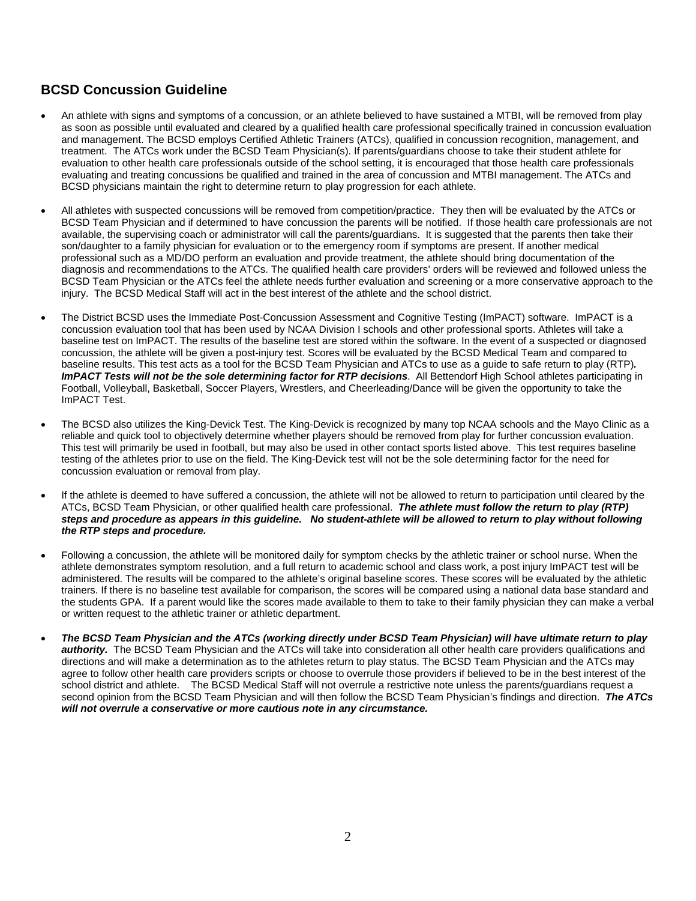# **BCSD Concussion Guideline**

- An athlete with signs and symptoms of a concussion, or an athlete believed to have sustained a MTBI, will be removed from play as soon as possible until evaluated and cleared by a qualified health care professional specifically trained in concussion evaluation and management. The BCSD employs Certified Athletic Trainers (ATCs), qualified in concussion recognition, management, and treatment. The ATCs work under the BCSD Team Physician(s). If parents/guardians choose to take their student athlete for evaluation to other health care professionals outside of the school setting, it is encouraged that those health care professionals evaluating and treating concussions be qualified and trained in the area of concussion and MTBI management. The ATCs and BCSD physicians maintain the right to determine return to play progression for each athlete.
- All athletes with suspected concussions will be removed from competition/practice. They then will be evaluated by the ATCs or BCSD Team Physician and if determined to have concussion the parents will be notified. If those health care professionals are not available, the supervising coach or administrator will call the parents/guardians. It is suggested that the parents then take their son/daughter to a family physician for evaluation or to the emergency room if symptoms are present. If another medical professional such as a MD/DO perform an evaluation and provide treatment, the athlete should bring documentation of the diagnosis and recommendations to the ATCs. The qualified health care providers' orders will be reviewed and followed unless the BCSD Team Physician or the ATCs feel the athlete needs further evaluation and screening or a more conservative approach to the injury. The BCSD Medical Staff will act in the best interest of the athlete and the school district.
- The District BCSD uses the Immediate Post-Concussion Assessment and Cognitive Testing (ImPACT) software. ImPACT is a concussion evaluation tool that has been used by NCAA Division I schools and other professional sports. Athletes will take a baseline test on ImPACT. The results of the baseline test are stored within the software. In the event of a suspected or diagnosed concussion, the athlete will be given a post-injury test. Scores will be evaluated by the BCSD Medical Team and compared to baseline results. This test acts as a tool for the BCSD Team Physician and ATCs to use as a guide to safe return to play (RTP)*. ImPACT Tests will not be the sole determining factor for RTP decisions*. All Bettendorf High School athletes participating in Football, Volleyball, Basketball, Soccer Players, Wrestlers, and Cheerleading/Dance will be given the opportunity to take the ImPACT Test.
- The BCSD also utilizes the King-Devick Test. The King-Devick is recognized by many top NCAA schools and the Mayo Clinic as a reliable and quick tool to objectively determine whether players should be removed from play for further concussion evaluation. This test will primarily be used in football, but may also be used in other contact sports listed above. This test requires baseline testing of the athletes prior to use on the field. The King-Devick test will not be the sole determining factor for the need for concussion evaluation or removal from play.
- If the athlete is deemed to have suffered a concussion, the athlete will not be allowed to return to participation until cleared by the ATCs, BCSD Team Physician, or other qualified health care professional. *The athlete must follow the return to play (RTP) steps and procedure as appears in this guideline. No student-athlete will be allowed to return to play without following the RTP steps and procedure.*
- Following a concussion, the athlete will be monitored daily for symptom checks by the athletic trainer or school nurse. When the athlete demonstrates symptom resolution, and a full return to academic school and class work, a post injury ImPACT test will be administered. The results will be compared to the athlete's original baseline scores. These scores will be evaluated by the athletic trainers. If there is no baseline test available for comparison, the scores will be compared using a national data base standard and the students GPA. If a parent would like the scores made available to them to take to their family physician they can make a verbal or written request to the athletic trainer or athletic department.
- *The BCSD Team Physician and the ATCs (working directly under BCSD Team Physician) will have ultimate return to play authority.* The BCSD Team Physician and the ATCs will take into consideration all other health care providers qualifications and directions and will make a determination as to the athletes return to play status. The BCSD Team Physician and the ATCs may agree to follow other health care providers scripts or choose to overrule those providers if believed to be in the best interest of the school district and athlete. The BCSD Medical Staff will not overrule a restrictive note unless the parents/guardians request a second opinion from the BCSD Team Physician and will then follow the BCSD Team Physician's findings and direction. *The ATCs will not overrule a conservative or more cautious note in any circumstance.*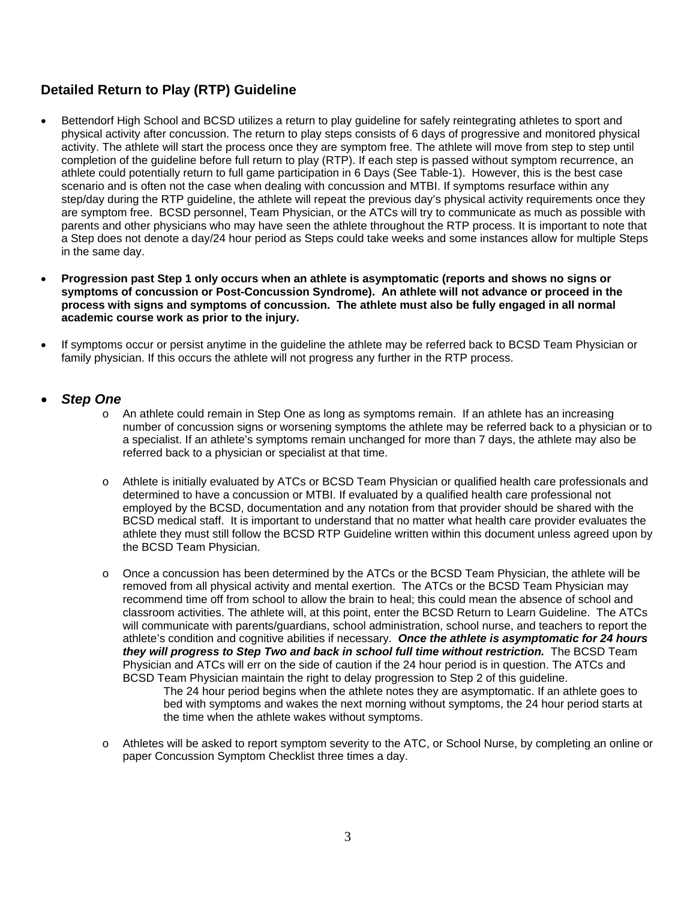## **Detailed Return to Play (RTP) Guideline**

- Bettendorf High School and BCSD utilizes a return to play guideline for safely reintegrating athletes to sport and physical activity after concussion. The return to play steps consists of 6 days of progressive and monitored physical activity. The athlete will start the process once they are symptom free. The athlete will move from step to step until completion of the guideline before full return to play (RTP). If each step is passed without symptom recurrence, an athlete could potentially return to full game participation in 6 Days (See Table-1). However, this is the best case scenario and is often not the case when dealing with concussion and MTBI. If symptoms resurface within any step/day during the RTP guideline, the athlete will repeat the previous day's physical activity requirements once they are symptom free. BCSD personnel, Team Physician, or the ATCs will try to communicate as much as possible with parents and other physicians who may have seen the athlete throughout the RTP process. It is important to note that a Step does not denote a day/24 hour period as Steps could take weeks and some instances allow for multiple Steps in the same day.
- **Progression past Step 1 only occurs when an athlete is asymptomatic (reports and shows no signs or symptoms of concussion or Post-Concussion Syndrome). An athlete will not advance or proceed in the process with signs and symptoms of concussion. The athlete must also be fully engaged in all normal academic course work as prior to the injury.**
- If symptoms occur or persist anytime in the guideline the athlete may be referred back to BCSD Team Physician or family physician. If this occurs the athlete will not progress any further in the RTP process.

### *Step One*

- o An athlete could remain in Step One as long as symptoms remain. If an athlete has an increasing number of concussion signs or worsening symptoms the athlete may be referred back to a physician or to a specialist. If an athlete's symptoms remain unchanged for more than 7 days, the athlete may also be referred back to a physician or specialist at that time.
- o Athlete is initially evaluated by ATCs or BCSD Team Physician or qualified health care professionals and determined to have a concussion or MTBI. If evaluated by a qualified health care professional not employed by the BCSD, documentation and any notation from that provider should be shared with the BCSD medical staff. It is important to understand that no matter what health care provider evaluates the athlete they must still follow the BCSD RTP Guideline written within this document unless agreed upon by the BCSD Team Physician.
- o Once a concussion has been determined by the ATCs or the BCSD Team Physician, the athlete will be removed from all physical activity and mental exertion. The ATCs or the BCSD Team Physician may recommend time off from school to allow the brain to heal; this could mean the absence of school and classroom activities. The athlete will, at this point, enter the BCSD Return to Learn Guideline. The ATCs will communicate with parents/guardians, school administration, school nurse, and teachers to report the athlete's condition and cognitive abilities if necessary. *Once the athlete is asymptomatic for 24 hours they will progress to Step Two and back in school full time without restriction.* The BCSD Team Physician and ATCs will err on the side of caution if the 24 hour period is in question. The ATCs and BCSD Team Physician maintain the right to delay progression to Step 2 of this guideline.

The 24 hour period begins when the athlete notes they are asymptomatic. If an athlete goes to bed with symptoms and wakes the next morning without symptoms, the 24 hour period starts at the time when the athlete wakes without symptoms.

o Athletes will be asked to report symptom severity to the ATC, or School Nurse, by completing an online or paper Concussion Symptom Checklist three times a day.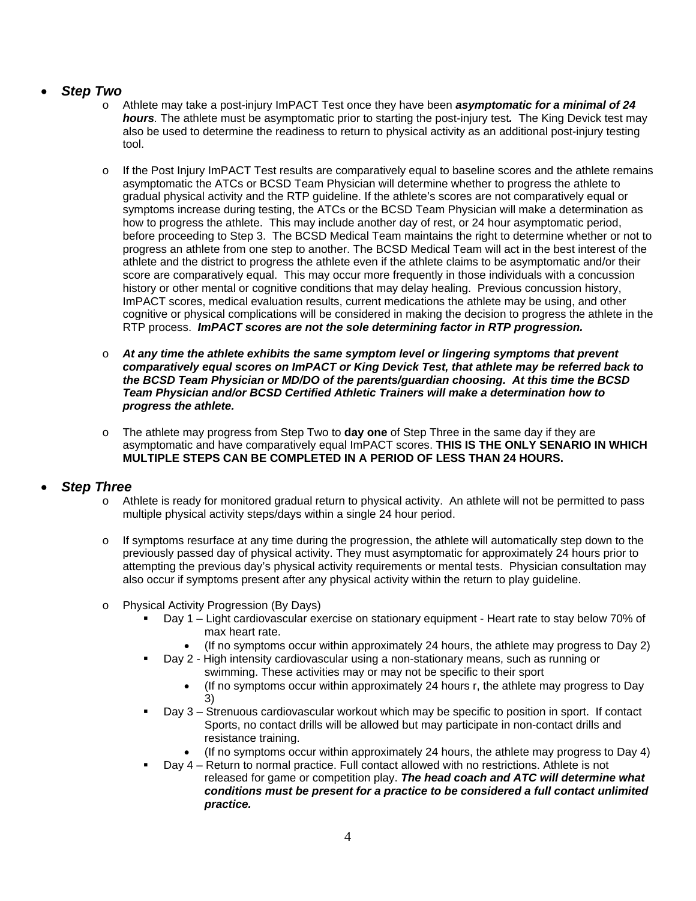## *Step Two*

- o Athlete may take a post-injury ImPACT Test once they have been *asymptomatic for a minimal of 24 hours.* The athlete must be asymptomatic prior to starting the post-injury test*.* The King Devick test may also be used to determine the readiness to return to physical activity as an additional post-injury testing tool.
- $\circ$  If the Post Injury ImPACT Test results are comparatively equal to baseline scores and the athlete remains asymptomatic the ATCs or BCSD Team Physician will determine whether to progress the athlete to gradual physical activity and the RTP guideline. If the athlete's scores are not comparatively equal or symptoms increase during testing, the ATCs or the BCSD Team Physician will make a determination as how to progress the athlete. This may include another day of rest, or 24 hour asymptomatic period, before proceeding to Step 3. The BCSD Medical Team maintains the right to determine whether or not to progress an athlete from one step to another. The BCSD Medical Team will act in the best interest of the athlete and the district to progress the athlete even if the athlete claims to be asymptomatic and/or their score are comparatively equal. This may occur more frequently in those individuals with a concussion history or other mental or cognitive conditions that may delay healing. Previous concussion history, ImPACT scores, medical evaluation results, current medications the athlete may be using, and other cognitive or physical complications will be considered in making the decision to progress the athlete in the RTP process. *ImPACT scores are not the sole determining factor in RTP progression.*
- o *At any time the athlete exhibits the same symptom level or lingering symptoms that prevent comparatively equal scores on ImPACT or King Devick Test, that athlete may be referred back to the BCSD Team Physician or MD/DO of the parents/guardian choosing. At this time the BCSD Team Physician and/or BCSD Certified Athletic Trainers will make a determination how to progress the athlete.*
- o The athlete may progress from Step Two to **day one** of Step Three in the same day if they are asymptomatic and have comparatively equal ImPACT scores. **THIS IS THE ONLY SENARIO IN WHICH MULTIPLE STEPS CAN BE COMPLETED IN A PERIOD OF LESS THAN 24 HOURS.**

## *Step Three*

- o Athlete is ready for monitored gradual return to physical activity. An athlete will not be permitted to pass multiple physical activity steps/days within a single 24 hour period.
- $\circ$  If symptoms resurface at any time during the progression, the athlete will automatically step down to the previously passed day of physical activity. They must asymptomatic for approximately 24 hours prior to attempting the previous day's physical activity requirements or mental tests. Physician consultation may also occur if symptoms present after any physical activity within the return to play guideline.
- o Physical Activity Progression (By Days)
	- Day 1 Light cardiovascular exercise on stationary equipment Heart rate to stay below 70% of max heart rate.
		- (If no symptoms occur within approximately 24 hours, the athlete may progress to Day 2)
	- Day 2 High intensity cardiovascular using a non-stationary means, such as running or swimming. These activities may or may not be specific to their sport
		- (If no symptoms occur within approximately 24 hours r, the athlete may progress to Day 3)
	- Day 3 Strenuous cardiovascular workout which may be specific to position in sport. If contact Sports, no contact drills will be allowed but may participate in non-contact drills and resistance training.
		- (If no symptoms occur within approximately 24 hours, the athlete may progress to Day 4)
	- Day 4 Return to normal practice. Full contact allowed with no restrictions. Athlete is not released for game or competition play. *The head coach and ATC will determine what conditions must be present for a practice to be considered a full contact unlimited practice.*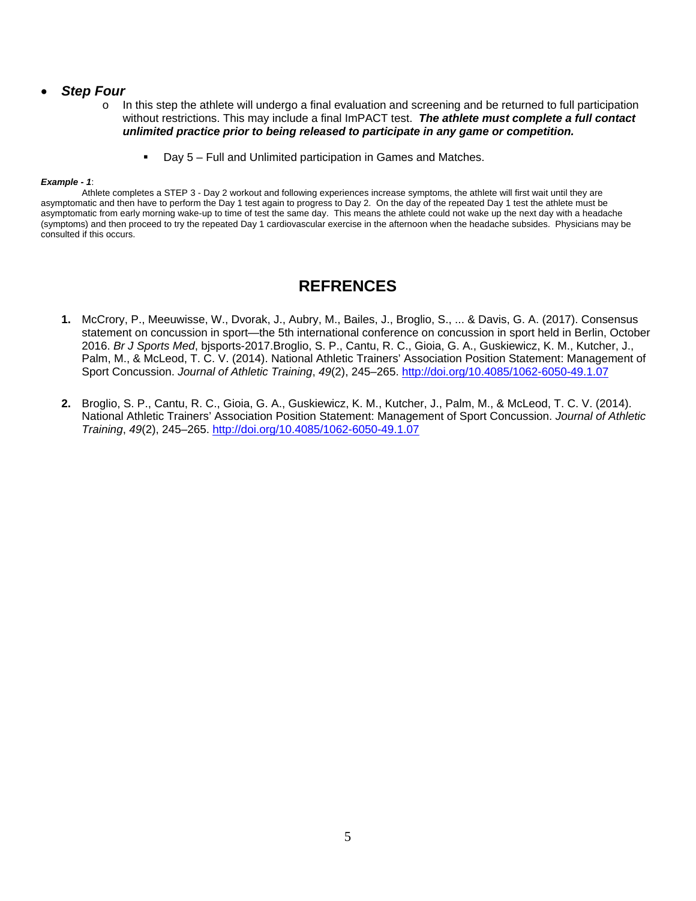#### *Step Four*

- o In this step the athlete will undergo a final evaluation and screening and be returned to full participation without restrictions. This may include a final ImPACT test. *The athlete must complete a full contact unlimited practice prior to being released to participate in any game or competition.* 
	- Day 5 Full and Unlimited participation in Games and Matches.

#### *Example - 1*:

 Athlete completes a STEP 3 - Day 2 workout and following experiences increase symptoms, the athlete will first wait until they are asymptomatic and then have to perform the Day 1 test again to progress to Day 2. On the day of the repeated Day 1 test the athlete must be asymptomatic from early morning wake-up to time of test the same day. This means the athlete could not wake up the next day with a headache (symptoms) and then proceed to try the repeated Day 1 cardiovascular exercise in the afternoon when the headache subsides. Physicians may be consulted if this occurs.

# **REFRENCES**

- **1.** McCrory, P., Meeuwisse, W., Dvorak, J., Aubry, M., Bailes, J., Broglio, S., ... & Davis, G. A. (2017). Consensus statement on concussion in sport—the 5th international conference on concussion in sport held in Berlin, October 2016. *Br J Sports Med*, bjsports-2017.Broglio, S. P., Cantu, R. C., Gioia, G. A., Guskiewicz, K. M., Kutcher, J., Palm, M., & McLeod, T. C. V. (2014). National Athletic Trainers' Association Position Statement: Management of Sport Concussion. *Journal of Athletic Training*, *49*(2), 245–265. http://doi.org/10.4085/1062-6050-49.1.07
- **2.** Broglio, S. P., Cantu, R. C., Gioia, G. A., Guskiewicz, K. M., Kutcher, J., Palm, M., & McLeod, T. C. V. (2014). National Athletic Trainers' Association Position Statement: Management of Sport Concussion. *Journal of Athletic Training*, *49*(2), 245–265. http://doi.org/10.4085/1062-6050-49.1.07